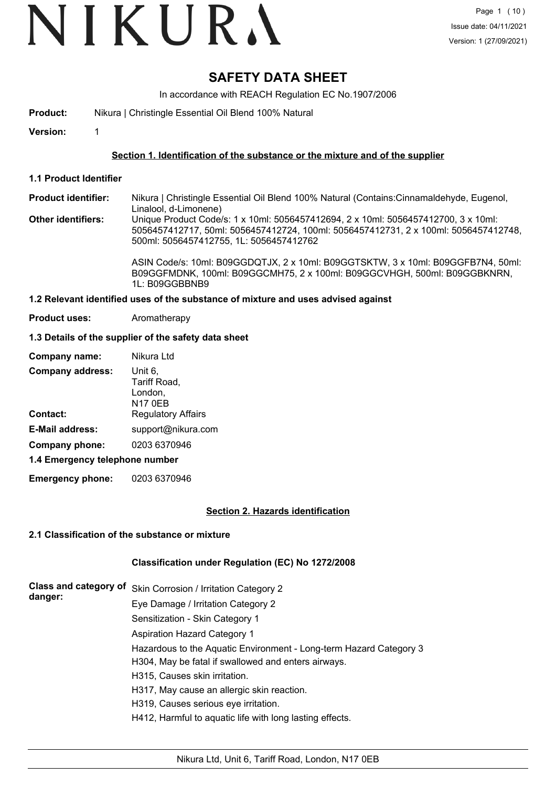# **SAFETY DATA SHEET**

In accordance with REACH Regulation EC No.1907/2006

**Product:** Nikura | Christingle Essential Oil Blend 100% Natural

**Version:** 1

## **Section 1. Identification of the substance or the mixture and of the supplier**

**1.1 Product Identifier**

Nikura | Christingle Essential Oil Blend 100% Natural (Contains:Cinnamaldehyde, Eugenol, Linalool, d-Limonene) **Product identifier:**

**Other identifiers:** Unique Product Code/s: 1 x 10ml: 5056457412694, 2 x 10ml: 5056457412700, 3 x 10ml: 5056457412717, 50ml: 5056457412724, 100ml: 5056457412731, 2 x 100ml: 5056457412748, 500ml: 5056457412755, 1L: 5056457412762

> ASIN Code/s: 10ml: B09GGDQTJX, 2 x 10ml: B09GGTSKTW, 3 x 10ml: B09GGFB7N4, 50ml: B09GGFMDNK, 100ml: B09GGCMH75, 2 x 100ml: B09GGCVHGH, 500ml: B09GGBKNRN, 1L: B09GGBBNB9

## **1.2 Relevant identified uses of the substance of mixture and uses advised against**

**Product uses:** Aromatherapy

## **1.3 Details of the supplier of the safety data sheet**

| Company name:                  | Nikura Ltd                                    |  |
|--------------------------------|-----------------------------------------------|--|
| <b>Company address:</b>        | Unit 6.<br>Tariff Road,<br>London,<br>N17 0EB |  |
| Contact:                       | <b>Regulatory Affairs</b>                     |  |
| <b>E-Mail address:</b>         | support@nikura.com                            |  |
| Company phone:                 | 0203 6370946                                  |  |
| 1.4 Emergency telephone number |                                               |  |

**Emergency phone:** 0203 6370946

## **Section 2. Hazards identification**

## **2.1 Classification of the substance or mixture**

## **Classification under Regulation (EC) No 1272/2008**

| <b>Class and category of</b> | Skin Corrosion / Irritation Category 2                             |
|------------------------------|--------------------------------------------------------------------|
| danger:                      | Eye Damage / Irritation Category 2                                 |
|                              | Sensitization - Skin Category 1                                    |
|                              | Aspiration Hazard Category 1                                       |
|                              | Hazardous to the Aquatic Environment - Long-term Hazard Category 3 |
|                              | H304, May be fatal if swallowed and enters airways.                |
|                              | H315, Causes skin irritation.                                      |
|                              | H317, May cause an allergic skin reaction.                         |
|                              | H319, Causes serious eye irritation.                               |
|                              | H412, Harmful to aquatic life with long lasting effects.           |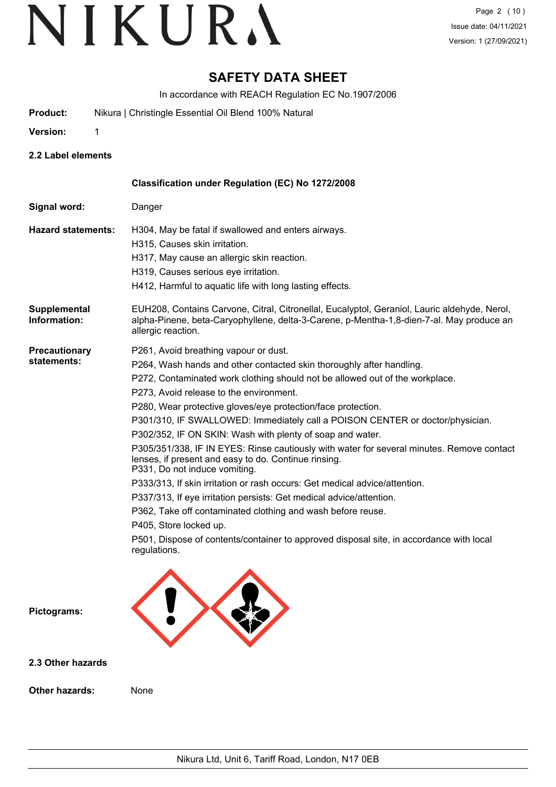## **SAFETY DATA SHEET**

In accordance with REACH Regulation EC No.1907/2006

- **Product:** Nikura | Christingle Essential Oil Blend 100% Natural
- **Version:** 1

**2.2 Label elements**

|                                     | <b>Classification under Regulation (EC) No 1272/2008</b>                                                                                                                                                                                                                                                                                                                                                                                                                                                                                                                                                                                                                                                                                                                                                                                                                                                                                                                                              |
|-------------------------------------|-------------------------------------------------------------------------------------------------------------------------------------------------------------------------------------------------------------------------------------------------------------------------------------------------------------------------------------------------------------------------------------------------------------------------------------------------------------------------------------------------------------------------------------------------------------------------------------------------------------------------------------------------------------------------------------------------------------------------------------------------------------------------------------------------------------------------------------------------------------------------------------------------------------------------------------------------------------------------------------------------------|
| Signal word:                        | Danger                                                                                                                                                                                                                                                                                                                                                                                                                                                                                                                                                                                                                                                                                                                                                                                                                                                                                                                                                                                                |
| <b>Hazard statements:</b>           | H304, May be fatal if swallowed and enters airways.<br>H315, Causes skin irritation.<br>H317, May cause an allergic skin reaction.<br>H319, Causes serious eye irritation.<br>H412, Harmful to aquatic life with long lasting effects.                                                                                                                                                                                                                                                                                                                                                                                                                                                                                                                                                                                                                                                                                                                                                                |
| Supplemental<br>Information:        | EUH208, Contains Carvone, Citral, Citronellal, Eucalyptol, Geraniol, Lauric aldehyde, Nerol,<br>alpha-Pinene, beta-Caryophyllene, delta-3-Carene, p-Mentha-1,8-dien-7-al. May produce an<br>allergic reaction.                                                                                                                                                                                                                                                                                                                                                                                                                                                                                                                                                                                                                                                                                                                                                                                        |
| <b>Precautionary</b><br>statements: | P261, Avoid breathing vapour or dust.<br>P264, Wash hands and other contacted skin thoroughly after handling.<br>P272, Contaminated work clothing should not be allowed out of the workplace.<br>P273, Avoid release to the environment.<br>P280, Wear protective gloves/eye protection/face protection.<br>P301/310, IF SWALLOWED: Immediately call a POISON CENTER or doctor/physician.<br>P302/352, IF ON SKIN: Wash with plenty of soap and water.<br>P305/351/338, IF IN EYES: Rinse cautiously with water for several minutes. Remove contact<br>lenses, if present and easy to do. Continue rinsing.<br>P331, Do not induce vomiting.<br>P333/313, If skin irritation or rash occurs: Get medical advice/attention.<br>P337/313, If eye irritation persists: Get medical advice/attention.<br>P362, Take off contaminated clothing and wash before reuse.<br>P405, Store locked up.<br>P501, Dispose of contents/container to approved disposal site, in accordance with local<br>regulations. |
| Pictograms:                         |                                                                                                                                                                                                                                                                                                                                                                                                                                                                                                                                                                                                                                                                                                                                                                                                                                                                                                                                                                                                       |

**2.3 Other hazards**

**Other hazards:** None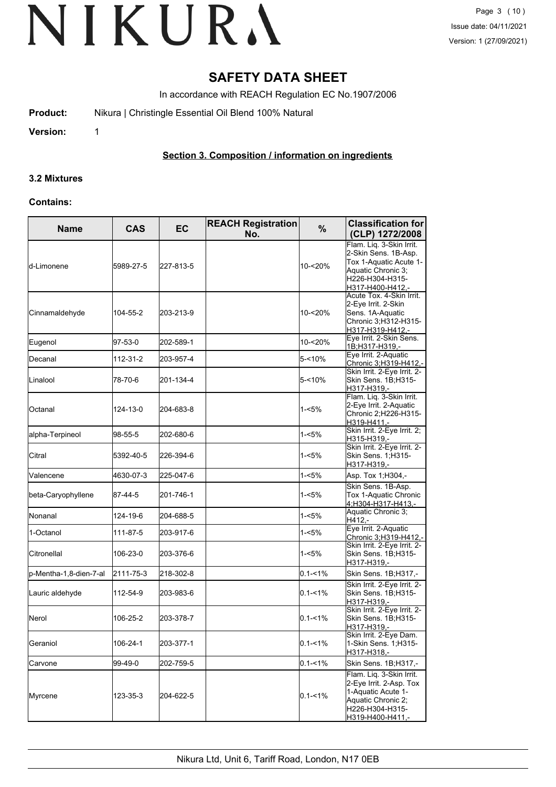## **SAFETY DATA SHEET**

In accordance with REACH Regulation EC No.1907/2006

**Product:** Nikura | Christingle Essential Oil Blend 100% Natural

**Version:** 1

## **Section 3. Composition / information on ingredients**

## **3.2 Mixtures**

#### **Contains:**

| <b>Name</b>            | <b>CAS</b> | <b>EC</b> | <b>REACH Registration</b><br>No. | %           | <b>Classification for</b><br>(CLP) 1272/2008                                                                                            |
|------------------------|------------|-----------|----------------------------------|-------------|-----------------------------------------------------------------------------------------------------------------------------------------|
| d-Limonene             | 5989-27-5  | 227-813-5 |                                  | 10-<20%     | Flam. Liq. 3-Skin Irrit.<br>2-Skin Sens. 1B-Asp.<br>Tox 1-Aquatic Acute 1-<br>Aquatic Chronic 3;<br>H226-H304-H315-<br>H317-H400-H412,- |
| Cinnamaldehyde         | 104-55-2   | 203-213-9 |                                  | 10-<20%     | Acute Tox. 4-Skin Irrit.<br>2-Eye Irrit. 2-Skin<br>Sens. 1A-Aquatic<br>Chronic 3;H312-H315-<br>H317-H319-H412,-                         |
| Eugenol                | 97-53-0    | 202-589-1 |                                  | 10-<20%     | Eye Irrit. 2-Skin Sens.<br>1B;H317-H319,-                                                                                               |
| Decanal                | 112-31-2   | 203-957-4 |                                  | 5-<10%      | Eye Irrit. 2-Aquatic<br>Chronic 3;H319-H412,-                                                                                           |
| Linalool               | 78-70-6    | 201-134-4 |                                  | 5-<10%      | Skin Irrit. 2-Eye Irrit. 2-<br>Skin Sens. 1B;H315-<br>H317-H319,-                                                                       |
| Octanal                | 124-13-0   | 204-683-8 |                                  | 1-<5%       | Flam. Liq. 3-Skin Irrit.<br>2-Eye Irrit. 2-Aquatic<br>Chronic 2;H226-H315-<br>H319-H411,-                                               |
| alpha-Terpineol        | 98-55-5    | 202-680-6 |                                  | 1-<5%       | Skin Irrit. 2-Eye Irrit. 2;<br>H315-H319.-                                                                                              |
| Citral                 | 5392-40-5  | 226-394-6 |                                  | 1-<5%       | Skin Irrit. 2-Eye Irrit. 2-<br>Skin Sens. 1; H315-<br>H317-H319,-                                                                       |
| Valencene              | 4630-07-3  | 225-047-6 |                                  | $1 - 5%$    | Asp. Tox 1; H304,-                                                                                                                      |
| beta-Caryophyllene     | 87-44-5    | 201-746-1 |                                  | 1-<5%       | Skin Sens. 1B-Asp.<br>Tox 1-Aquatic Chronic<br>4;H304-H317-H413,-                                                                       |
| Nonanal                | 124-19-6   | 204-688-5 |                                  | 1-<5%       | Aquatic Chronic 3;<br>H412,-                                                                                                            |
| 1-Octanol              | 111-87-5   | 203-917-6 |                                  | 1-<5%       | Eye Irrit. 2-Aquatic<br>Chronic 3;H319-H412,-                                                                                           |
| Citronellal            | 106-23-0   | 203-376-6 |                                  | 1-<5%       | Skin Irrit. 2-Eye Irrit. 2-<br>Skin Sens. 1B;H315-<br>H317-H319,-                                                                       |
| p-Mentha-1,8-dien-7-al | 2111-75-3  | 218-302-8 |                                  | $0.1 - 1\%$ | Skin Sens. 1B;H317,-                                                                                                                    |
| Lauric aldehyde        | 112-54-9   | 203-983-6 |                                  | $0.1 - 1\%$ | Skin Irrit. 2-Eye Irrit. 2-<br>Skin Sens. 1B; H315-<br>H317-H319,-                                                                      |
| Nerol                  | 106-25-2   | 203-378-7 |                                  | $0.1 - 1\%$ | Skin Irrit. 2-Eye Irrit. 2-<br>Skin Sens. 1B;H315-<br>H317-H319,-                                                                       |
| Geraniol               | 106-24-1   | 203-377-1 |                                  | $0.1 - 1\%$ | Skin Irrit. 2-Eye Dam.<br>1-Skin Sens. 1; H315-<br>H317-H318,-                                                                          |
| Carvone                | 99-49-0    | 202-759-5 |                                  | $0.1 - 1\%$ | Skin Sens. 1B;H317,-                                                                                                                    |
| Myrcene                | 123-35-3   | 204-622-5 |                                  | $0.1 - 1\%$ | Flam. Liq. 3-Skin Irrit.<br>2-Eye Irrit. 2-Asp. Tox<br>1-Aquatic Acute 1-<br>Aquatic Chronic 2;<br>H226-H304-H315-<br>H319-H400-H411,-  |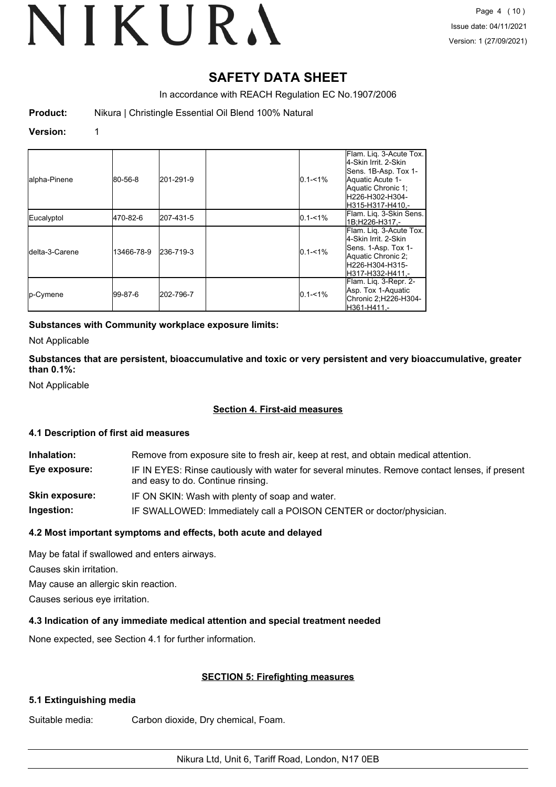## **SAFETY DATA SHEET**

In accordance with REACH Regulation EC No.1907/2006

**Product:** Nikura | Christingle Essential Oil Blend 100% Natural

#### **Version:** 1

| alpha-Pinene            | 80-56-8    | 201-291-9  | $0.1 - 1\%$ | Flam. Lig. 3-Acute Tox.<br>l4-Skin Irrit. 2-Skin<br>Sens. 1B-Asp. Tox 1-<br>Aquatic Acute 1-<br>Aquatic Chronic 1;<br>lH226-H302-H304-<br>H315-H317-H410.- |
|-------------------------|------------|------------|-------------|------------------------------------------------------------------------------------------------------------------------------------------------------------|
| Eucalyptol              | 470-82-6   | 1207-431-5 | $0.1 - 1%$  | Flam. Liq. 3-Skin Sens.<br>1B:H226-H317.-                                                                                                                  |
| <b>I</b> delta-3-Carene | 13466-78-9 | 236-719-3  | $0.1 - 1\%$ | Flam. Lig. 3-Acute Tox.<br>4-Skin Irrit. 2-Skin<br>Sens. 1-Asp. Tox 1-<br>Aquatic Chronic 2;<br>H226-H304-H315-<br>H317-H332-H411.-                        |
| p-Cymene                | 99-87-6    | 202-796-7  | $0.1 - 1\%$ | Flam. Liq. 3-Repr. 2-<br>Asp. Tox 1-Aquatic<br>Chronic 2:H226-H304-<br>H361-H411.-                                                                         |

## **Substances with Community workplace exposure limits:**

Not Applicable

## **Substances that are persistent, bioaccumulative and toxic or very persistent and very bioaccumulative, greater than 0.1%:**

Not Applicable

## **Section 4. First-aid measures**

## **4.1 Description of first aid measures**

| Inhalation:           | Remove from exposure site to fresh air, keep at rest, and obtain medical attention.                                                 |
|-----------------------|-------------------------------------------------------------------------------------------------------------------------------------|
| Eye exposure:         | IF IN EYES: Rinse cautiously with water for several minutes. Remove contact lenses, if present<br>and easy to do. Continue rinsing. |
| <b>Skin exposure:</b> | IF ON SKIN: Wash with plenty of soap and water.                                                                                     |

**Ingestion:** IF SWALLOWED: Immediately call a POISON CENTER or doctor/physician.

## **4.2 Most important symptoms and effects, both acute and delayed**

May be fatal if swallowed and enters airways.

Causes skin irritation.

May cause an allergic skin reaction.

Causes serious eye irritation.

## **4.3 Indication of any immediate medical attention and special treatment needed**

None expected, see Section 4.1 for further information.

## **SECTION 5: Firefighting measures**

## **5.1 Extinguishing media**

Suitable media: Carbon dioxide, Dry chemical, Foam.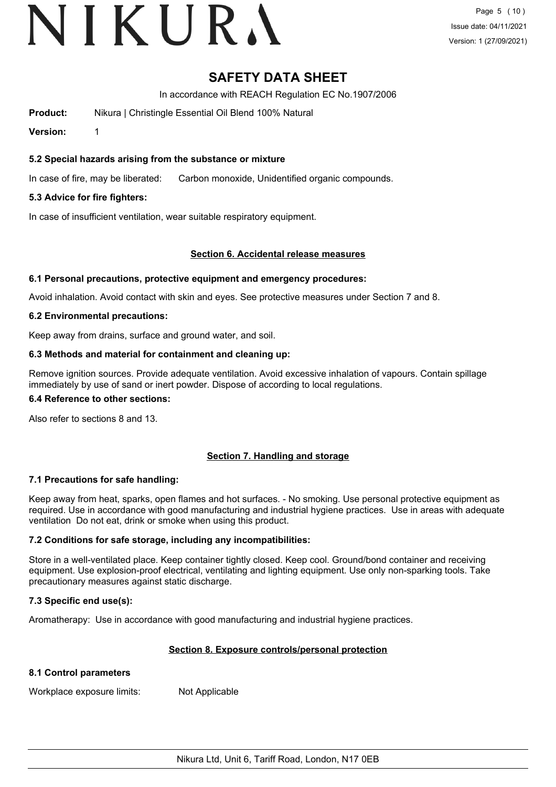## **SAFETY DATA SHEET**

In accordance with REACH Regulation EC No.1907/2006

**Product:** Nikura | Christingle Essential Oil Blend 100% Natural

**Version:** 1

## **5.2 Special hazards arising from the substance or mixture**

In case of fire, may be liberated: Carbon monoxide, Unidentified organic compounds.

## **5.3 Advice for fire fighters:**

In case of insufficient ventilation, wear suitable respiratory equipment.

## **Section 6. Accidental release measures**

## **6.1 Personal precautions, protective equipment and emergency procedures:**

Avoid inhalation. Avoid contact with skin and eyes. See protective measures under Section 7 and 8.

## **6.2 Environmental precautions:**

Keep away from drains, surface and ground water, and soil.

## **6.3 Methods and material for containment and cleaning up:**

Remove ignition sources. Provide adequate ventilation. Avoid excessive inhalation of vapours. Contain spillage immediately by use of sand or inert powder. Dispose of according to local regulations.

#### **6.4 Reference to other sections:**

Also refer to sections 8 and 13.

## **Section 7. Handling and storage**

## **7.1 Precautions for safe handling:**

Keep away from heat, sparks, open flames and hot surfaces. - No smoking. Use personal protective equipment as required. Use in accordance with good manufacturing and industrial hygiene practices. Use in areas with adequate ventilation Do not eat, drink or smoke when using this product.

## **7.2 Conditions for safe storage, including any incompatibilities:**

Store in a well-ventilated place. Keep container tightly closed. Keep cool. Ground/bond container and receiving equipment. Use explosion-proof electrical, ventilating and lighting equipment. Use only non-sparking tools. Take precautionary measures against static discharge.

## **7.3 Specific end use(s):**

Aromatherapy: Use in accordance with good manufacturing and industrial hygiene practices.

## **Section 8. Exposure controls/personal protection**

## **8.1 Control parameters**

Workplace exposure limits: Not Applicable

Nikura Ltd, Unit 6, Tariff Road, London, N17 0EB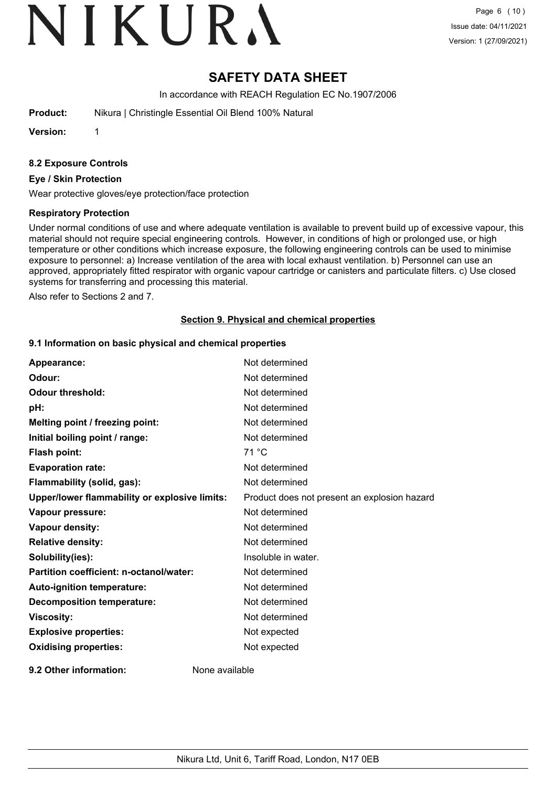## **SAFETY DATA SHEET**

In accordance with REACH Regulation EC No.1907/2006

**Product:** Nikura | Christingle Essential Oil Blend 100% Natural

**Version:** 1

## **8.2 Exposure Controls**

#### **Eye / Skin Protection**

Wear protective gloves/eye protection/face protection

## **Respiratory Protection**

Under normal conditions of use and where adequate ventilation is available to prevent build up of excessive vapour, this material should not require special engineering controls. However, in conditions of high or prolonged use, or high temperature or other conditions which increase exposure, the following engineering controls can be used to minimise exposure to personnel: a) Increase ventilation of the area with local exhaust ventilation. b) Personnel can use an approved, appropriately fitted respirator with organic vapour cartridge or canisters and particulate filters. c) Use closed systems for transferring and processing this material.

Also refer to Sections 2 and 7.

## **Section 9. Physical and chemical properties**

#### **9.1 Information on basic physical and chemical properties**

| Appearance:                                   | Not determined                               |
|-----------------------------------------------|----------------------------------------------|
| Odour:                                        | Not determined                               |
| <b>Odour threshold:</b>                       | Not determined                               |
| pH:                                           | Not determined                               |
| Melting point / freezing point:               | Not determined                               |
| Initial boiling point / range:                | Not determined                               |
| Flash point:                                  | 71 °C                                        |
| <b>Evaporation rate:</b>                      | Not determined                               |
| Flammability (solid, gas):                    | Not determined                               |
| Upper/lower flammability or explosive limits: | Product does not present an explosion hazard |
| Vapour pressure:                              | Not determined                               |
| Vapour density:                               | Not determined                               |
| <b>Relative density:</b>                      | Not determined                               |
| Solubility(ies):                              | Insoluble in water.                          |
| Partition coefficient: n-octanol/water:       | Not determined                               |
| Auto-ignition temperature:                    | Not determined                               |
| <b>Decomposition temperature:</b>             | Not determined                               |
| <b>Viscosity:</b>                             | Not determined                               |
| <b>Explosive properties:</b>                  | Not expected                                 |
| <b>Oxidising properties:</b>                  | Not expected                                 |
| 9.2 Other information:                        | None available                               |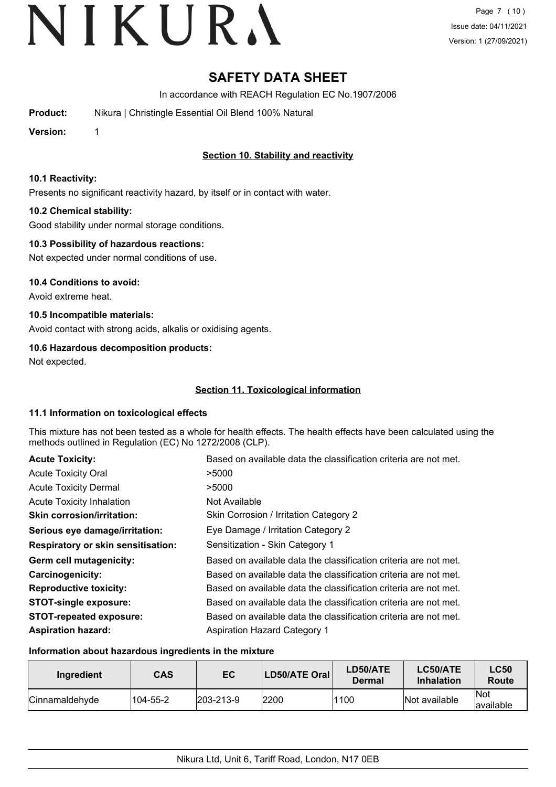# **SAFETY DATA SHEET**

In accordance with REACH Regulation EC No.1907/2006

**Product:** Nikura | Christingle Essential Oil Blend 100% Natural

**Version:** 1

## **Section 10. Stability and reactivity**

## **10.1 Reactivity:**

Presents no significant reactivity hazard, by itself or in contact with water.

## **10.2 Chemical stability:**

Good stability under normal storage conditions.

## **10.3 Possibility of hazardous reactions:**

Not expected under normal conditions of use.

**10.4 Conditions to avoid:**

Avoid extreme heat.

## **10.5 Incompatible materials:**

Avoid contact with strong acids, alkalis or oxidising agents.

## **10.6 Hazardous decomposition products:**

Not expected.

## **Section 11. Toxicological information**

## **11.1 Information on toxicological effects**

This mixture has not been tested as a whole for health effects. The health effects have been calculated using the methods outlined in Regulation (EC) No 1272/2008 (CLP).

| <b>Acute Toxicity:</b>                    | Based on available data the classification criteria are not met. |
|-------------------------------------------|------------------------------------------------------------------|
| <b>Acute Toxicity Oral</b>                | >5000                                                            |
| <b>Acute Toxicity Dermal</b>              | >5000                                                            |
| <b>Acute Toxicity Inhalation</b>          | Not Available                                                    |
| <b>Skin corrosion/irritation:</b>         | Skin Corrosion / Irritation Category 2                           |
| Serious eye damage/irritation:            | Eye Damage / Irritation Category 2                               |
| <b>Respiratory or skin sensitisation:</b> | Sensitization - Skin Category 1                                  |
| Germ cell mutagenicity:                   | Based on available data the classification criteria are not met. |
| Carcinogenicity:                          | Based on available data the classification criteria are not met. |
| <b>Reproductive toxicity:</b>             | Based on available data the classification criteria are not met. |
| <b>STOT-single exposure:</b>              | Based on available data the classification criteria are not met. |
| <b>STOT-repeated exposure:</b>            | Based on available data the classification criteria are not met. |
| <b>Aspiration hazard:</b>                 | <b>Aspiration Hazard Category 1</b>                              |

## **Information about hazardous ingredients in the mixture**

| Ingredient     | <b>CAS</b> | EC                | <b>LD50/ATE Oral</b> | LD50/ATE<br>Dermal | <b>LC50/ATE</b><br><b>Inhalation</b> | <b>LC50</b><br>Route     |
|----------------|------------|-------------------|----------------------|--------------------|--------------------------------------|--------------------------|
| Cinnamaldehyde | 104-55-2   | $ 203 - 213 - 9 $ | 2200                 | 1100               | Not available                        | <b>Not</b><br>lavailable |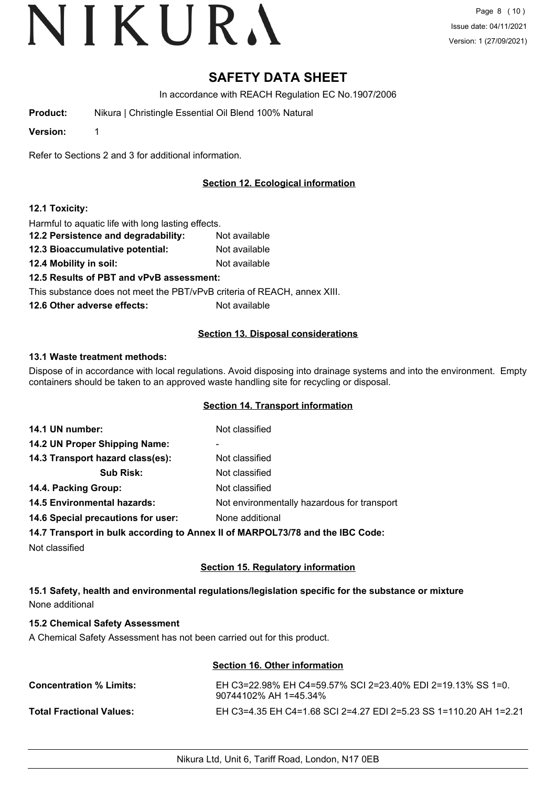# **SAFETY DATA SHEET**

In accordance with REACH Regulation EC No.1907/2006

**Product:** Nikura | Christingle Essential Oil Blend 100% Natural

**Version:** 1

Refer to Sections 2 and 3 for additional information.

## **Section 12. Ecological information**

## **12.1 Toxicity:**

Harmful to aquatic life with long lasting effects.

- **12.2 Persistence and degradability:** Not available
- **12.3 Bioaccumulative potential:** Not available
- **12.4 Mobility in soil:** Not available

**12.5 Results of PBT and vPvB assessment:**

This substance does not meet the PBT/vPvB criteria of REACH, annex XIII.

**12.6 Other adverse effects:** Not available

## **Section 13. Disposal considerations**

## **13.1 Waste treatment methods:**

Dispose of in accordance with local regulations. Avoid disposing into drainage systems and into the environment. Empty containers should be taken to an approved waste handling site for recycling or disposal.

## **Section 14. Transport information**

| 14.1 UN number:                    | Not classified                                                                 |
|------------------------------------|--------------------------------------------------------------------------------|
| 14.2 UN Proper Shipping Name:      | ۰                                                                              |
| 14.3 Transport hazard class(es):   | Not classified                                                                 |
| <b>Sub Risk:</b>                   | Not classified                                                                 |
| 14.4. Packing Group:               | Not classified                                                                 |
| 14.5 Environmental hazards:        | Not environmentally hazardous for transport                                    |
| 14.6 Special precautions for user: | None additional                                                                |
|                                    | 14.7 Transport in bulk according to Annoy II of MADDOI 72/78 and the IBC Code: |

**14.7 Transport in bulk according to Annex II of MARPOL73/78 and the IBC Code:**

Not classified

## **Section 15. Regulatory information**

## **15.1 Safety, health and environmental regulations/legislation specific for the substance or mixture** None additional

## **15.2 Chemical Safety Assessment**

A Chemical Safety Assessment has not been carried out for this product.

## **Section 16. Other information**

| <b>Concentration % Limits:</b>  | EH C3=22.98% EH C4=59.57% SCI 2=23.40% EDI 2=19.13% SS 1=0.<br>90744102% AH 1=45.34% |
|---------------------------------|--------------------------------------------------------------------------------------|
| <b>Total Fractional Values:</b> | EH C3=4.35 EH C4=1.68 SCI 2=4.27 EDI 2=5.23 SS 1=110.20 AH 1=2.21                    |

Nikura Ltd, Unit 6, Tariff Road, London, N17 0EB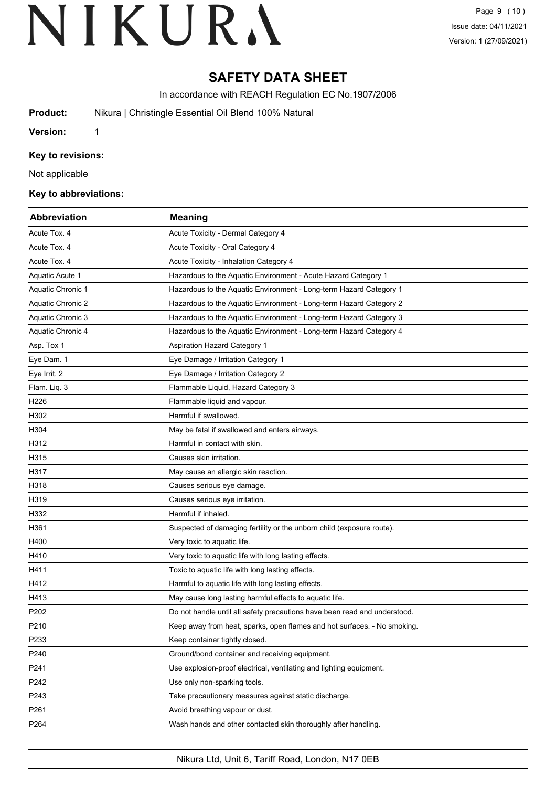# **SAFETY DATA SHEET**

In accordance with REACH Regulation EC No.1907/2006

**Product:** Nikura | Christingle Essential Oil Blend 100% Natural

**Version:** 1

## **Key to revisions:**

Not applicable

#### **Key to abbreviations:**

| <b>Abbreviation</b> | <b>Meaning</b>                                                            |
|---------------------|---------------------------------------------------------------------------|
| Acute Tox. 4        | Acute Toxicity - Dermal Category 4                                        |
| Acute Tox. 4        | Acute Toxicity - Oral Category 4                                          |
| Acute Tox. 4        | Acute Toxicity - Inhalation Category 4                                    |
| Aquatic Acute 1     | Hazardous to the Aquatic Environment - Acute Hazard Category 1            |
| Aquatic Chronic 1   | Hazardous to the Aquatic Environment - Long-term Hazard Category 1        |
| Aquatic Chronic 2   | Hazardous to the Aquatic Environment - Long-term Hazard Category 2        |
| Aquatic Chronic 3   | Hazardous to the Aquatic Environment - Long-term Hazard Category 3        |
| Aquatic Chronic 4   | Hazardous to the Aquatic Environment - Long-term Hazard Category 4        |
| Asp. Tox 1          | Aspiration Hazard Category 1                                              |
| Eye Dam. 1          | Eye Damage / Irritation Category 1                                        |
| Eye Irrit. 2        | Eye Damage / Irritation Category 2                                        |
| Flam. Liq. 3        | Flammable Liquid, Hazard Category 3                                       |
| H <sub>226</sub>    | Flammable liquid and vapour.                                              |
| H302                | Harmful if swallowed.                                                     |
| H304                | May be fatal if swallowed and enters airways.                             |
| H312                | Harmful in contact with skin.                                             |
| H315                | Causes skin irritation.                                                   |
| H317                | May cause an allergic skin reaction.                                      |
| H318                | Causes serious eye damage.                                                |
| H319                | Causes serious eye irritation.                                            |
| H332                | Harmful if inhaled.                                                       |
| H361                | Suspected of damaging fertility or the unborn child (exposure route).     |
| H400                | Very toxic to aquatic life.                                               |
| H410                | Very toxic to aquatic life with long lasting effects.                     |
| H411                | Toxic to aquatic life with long lasting effects.                          |
| H412                | Harmful to aquatic life with long lasting effects.                        |
| H413                | May cause long lasting harmful effects to aquatic life.                   |
| P <sub>202</sub>    | Do not handle until all safety precautions have been read and understood. |
| P210                | Keep away from heat, sparks, open flames and hot surfaces. - No smoking.  |
| P233                | Keep container tightly closed.                                            |
| P240                | Ground/bond container and receiving equipment.                            |
| P241                | Use explosion-proof electrical, ventilating and lighting equipment.       |
| P242                | Use only non-sparking tools.                                              |
| P243                | Take precautionary measures against static discharge.                     |
| P261                | Avoid breathing vapour or dust.                                           |
| P <sub>264</sub>    | Wash hands and other contacted skin thoroughly after handling.            |